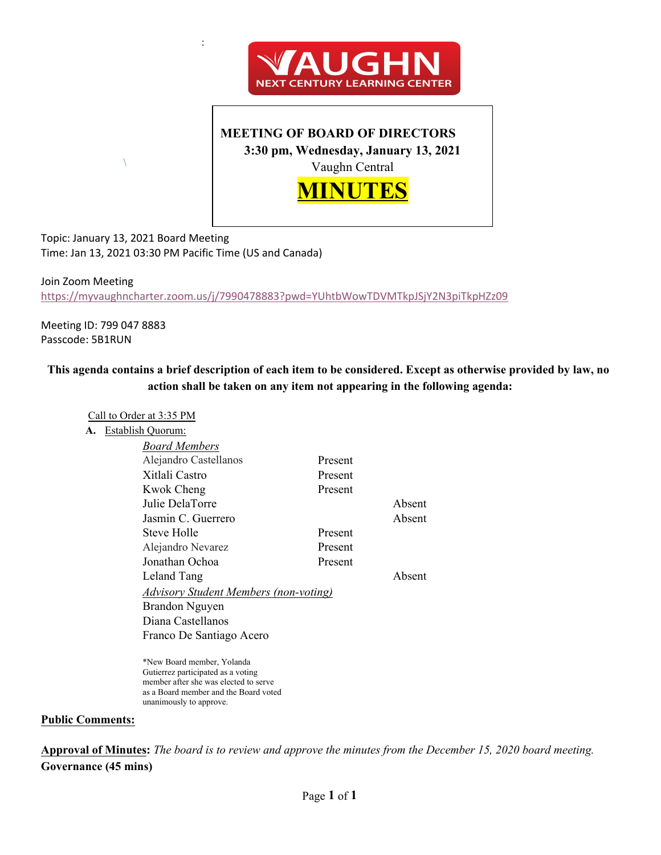

## **MEETING OF BOARD OF DIRECTORS 3:30 pm, Wednesday, January 13, 2021** Vaughn Central



Topic: January 13, 2021 Board Meeting Time: Jan 13, 2021 03:30 PM Pacific Time (US and Canada)

 $\sqrt{2}$ 

Join Zoom Meeting https://myvaughncharter.zoom.us/j/7990478883?pwd=YUhtbWowTDVMTkpJSjY2N3piTkpHZz09

Meeting ID: 799 047 8883 Passcode: 5B1RUN

### **This agenda contains a brief description of each item to be considered. Except as otherwise provided by law, no action shall be taken on any item not appearing in the following agenda:**

### Call to Order at 3:35 PM

**A.** Establish Quorum:

| <b>Board Members</b>                         |         |        |  |
|----------------------------------------------|---------|--------|--|
| Alejandro Castellanos                        | Present |        |  |
| Xitlali Castro                               | Present |        |  |
| <b>Kwok Cheng</b>                            | Present |        |  |
| Julie DelaTorre                              |         | Absent |  |
| Jasmin C. Guerrero                           |         | Absent |  |
| Steve Holle                                  | Present |        |  |
| Alejandro Nevarez                            | Present |        |  |
| Jonathan Ochoa                               | Present |        |  |
| Leland Tang                                  |         | Absent |  |
| <b>Advisory Student Members (non-voting)</b> |         |        |  |
| Brandon Nguyen                               |         |        |  |
| Diana Castellanos                            |         |        |  |
| Franco De Santiago Acero                     |         |        |  |
|                                              |         |        |  |

\*New Board member, Yolanda Gutierrez participated as a voting member after she was elected to serve as a Board member and the Board voted unanimously to approve.

#### **Public Comments:**

**Approval of Minutes:** *The board is to review and approve the minutes from the December 15, 2020 board meeting.* **Governance (45 mins)**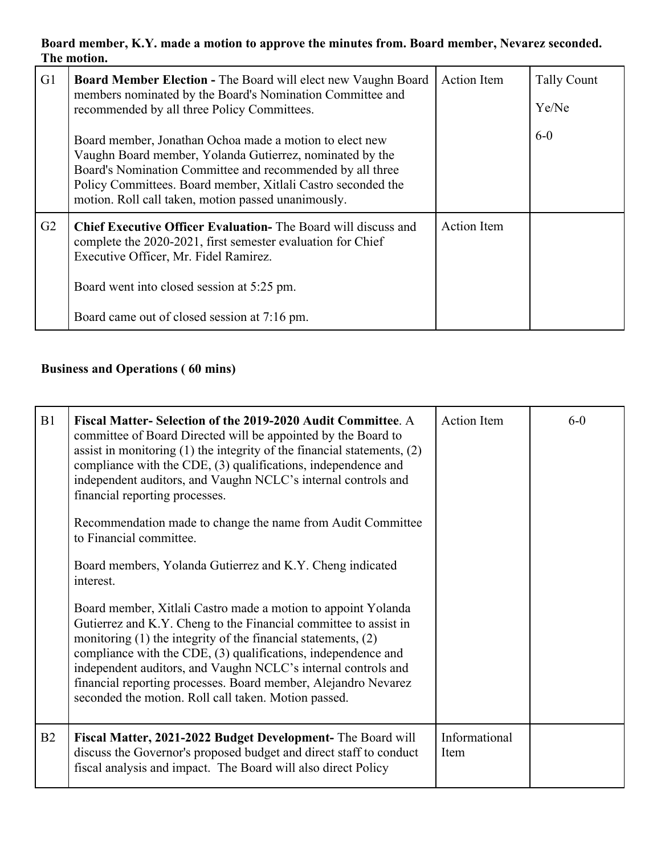**Board member, K.Y. made a motion to approve the minutes from. Board member, Nevarez seconded. The motion.** 

| G <sub>1</sub> | <b>Board Member Election - The Board will elect new Vaughn Board</b><br>members nominated by the Board's Nomination Committee and<br>recommended by all three Policy Committees.<br>Board member, Jonathan Ochoa made a motion to elect new<br>Vaughn Board member, Yolanda Gutierrez, nominated by the<br>Board's Nomination Committee and recommended by all three<br>Policy Committees. Board member, Xitlali Castro seconded the<br>motion. Roll call taken, motion passed unanimously. | <b>Action</b> Item | <b>Tally Count</b><br>Ye/Ne<br>$6-0$ |  |
|----------------|---------------------------------------------------------------------------------------------------------------------------------------------------------------------------------------------------------------------------------------------------------------------------------------------------------------------------------------------------------------------------------------------------------------------------------------------------------------------------------------------|--------------------|--------------------------------------|--|
| G2             | <b>Chief Executive Officer Evaluation-</b> The Board will discuss and<br>complete the 2020-2021, first semester evaluation for Chief<br>Executive Officer, Mr. Fidel Ramirez.<br>Board went into closed session at 5:25 pm.<br>Board came out of closed session at 7:16 pm.                                                                                                                                                                                                                 | <b>Action Item</b> |                                      |  |

# **Business and Operations ( 60 mins)**

| B1 | Fiscal Matter-Selection of the 2019-2020 Audit Committee. A<br>committee of Board Directed will be appointed by the Board to<br>assist in monitoring $(1)$ the integrity of the financial statements, $(2)$<br>compliance with the CDE, (3) qualifications, independence and<br>independent auditors, and Vaughn NCLC's internal controls and<br>financial reporting processes.<br>Recommendation made to change the name from Audit Committee<br>to Financial committee.<br>Board members, Yolanda Gutierrez and K.Y. Cheng indicated<br>interest.<br>Board member, Xitlali Castro made a motion to appoint Yolanda<br>Gutierrez and K.Y. Cheng to the Financial committee to assist in<br>monitoring $(1)$ the integrity of the financial statements, $(2)$<br>compliance with the CDE, (3) qualifications, independence and<br>independent auditors, and Vaughn NCLC's internal controls and<br>financial reporting processes. Board member, Alejandro Nevarez<br>seconded the motion. Roll call taken. Motion passed. | <b>Action Item</b>    | $6-0$ |  |
|----|---------------------------------------------------------------------------------------------------------------------------------------------------------------------------------------------------------------------------------------------------------------------------------------------------------------------------------------------------------------------------------------------------------------------------------------------------------------------------------------------------------------------------------------------------------------------------------------------------------------------------------------------------------------------------------------------------------------------------------------------------------------------------------------------------------------------------------------------------------------------------------------------------------------------------------------------------------------------------------------------------------------------------|-----------------------|-------|--|
| B2 | Fiscal Matter, 2021-2022 Budget Development- The Board will<br>discuss the Governor's proposed budget and direct staff to conduct<br>fiscal analysis and impact. The Board will also direct Policy                                                                                                                                                                                                                                                                                                                                                                                                                                                                                                                                                                                                                                                                                                                                                                                                                        | Informational<br>Item |       |  |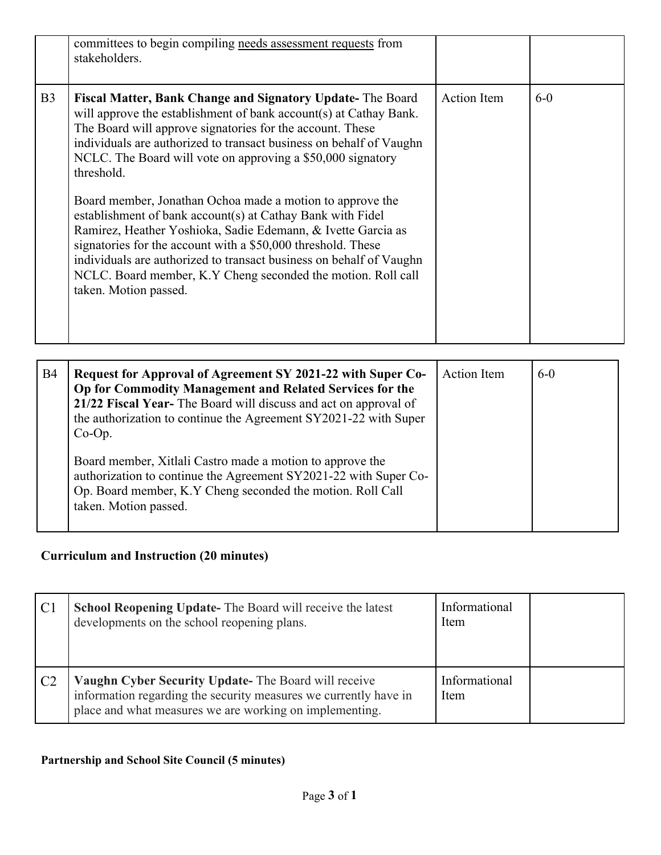|                | committees to begin compiling needs assessment requests from<br>stakeholders.                                                                                                                                                                                                                                                                                                                                                                                                                                                                                                                                                                                                                                                                                               |                    |       |
|----------------|-----------------------------------------------------------------------------------------------------------------------------------------------------------------------------------------------------------------------------------------------------------------------------------------------------------------------------------------------------------------------------------------------------------------------------------------------------------------------------------------------------------------------------------------------------------------------------------------------------------------------------------------------------------------------------------------------------------------------------------------------------------------------------|--------------------|-------|
| B <sub>3</sub> | Fiscal Matter, Bank Change and Signatory Update- The Board<br>will approve the establishment of bank account(s) at Cathay Bank.<br>The Board will approve signatories for the account. These<br>individuals are authorized to transact business on behalf of Vaughn<br>NCLC. The Board will vote on approving a \$50,000 signatory<br>threshold.<br>Board member, Jonathan Ochoa made a motion to approve the<br>establishment of bank account(s) at Cathay Bank with Fidel<br>Ramirez, Heather Yoshioka, Sadie Edemann, & Ivette Garcia as<br>signatories for the account with a \$50,000 threshold. These<br>individuals are authorized to transact business on behalf of Vaughn<br>NCLC. Board member, K.Y Cheng seconded the motion. Roll call<br>taken. Motion passed. | <b>Action Item</b> | $6-0$ |
| <b>B4</b>      | Request for Approval of Agreement SY 2021-22 with Super Co-                                                                                                                                                                                                                                                                                                                                                                                                                                                                                                                                                                                                                                                                                                                 | Action Item        | $6-0$ |

| <b>B4</b> | Request for Approval of Agreement SY 2021-22 with Super Co-<br>Op for Commodity Management and Related Services for the<br>21/22 Fiscal Year- The Board will discuss and act on approval of<br>the authorization to continue the Agreement SY2021-22 with Super<br>$Co-Op.$ | <b>Action</b> Item | $6-0$ |
|-----------|-----------------------------------------------------------------------------------------------------------------------------------------------------------------------------------------------------------------------------------------------------------------------------|--------------------|-------|
|           | Board member, Xitlali Castro made a motion to approve the<br>authorization to continue the Agreement SY2021-22 with Super Co-<br>Op. Board member, K.Y Cheng seconded the motion. Roll Call<br>taken. Motion passed.                                                        |                    |       |

# **Curriculum and Instruction (20 minutes)**

|                | <b>School Reopening Update-</b> The Board will receive the latest<br>developments on the school reopening plans.                                                                    | Informational<br>Item |  |
|----------------|-------------------------------------------------------------------------------------------------------------------------------------------------------------------------------------|-----------------------|--|
| C <sub>2</sub> | Vaughn Cyber Security Update- The Board will receive<br>information regarding the security measures we currently have in<br>place and what measures we are working on implementing. | Informational<br>Item |  |

### **Partnership and School Site Council (5 minutes)**